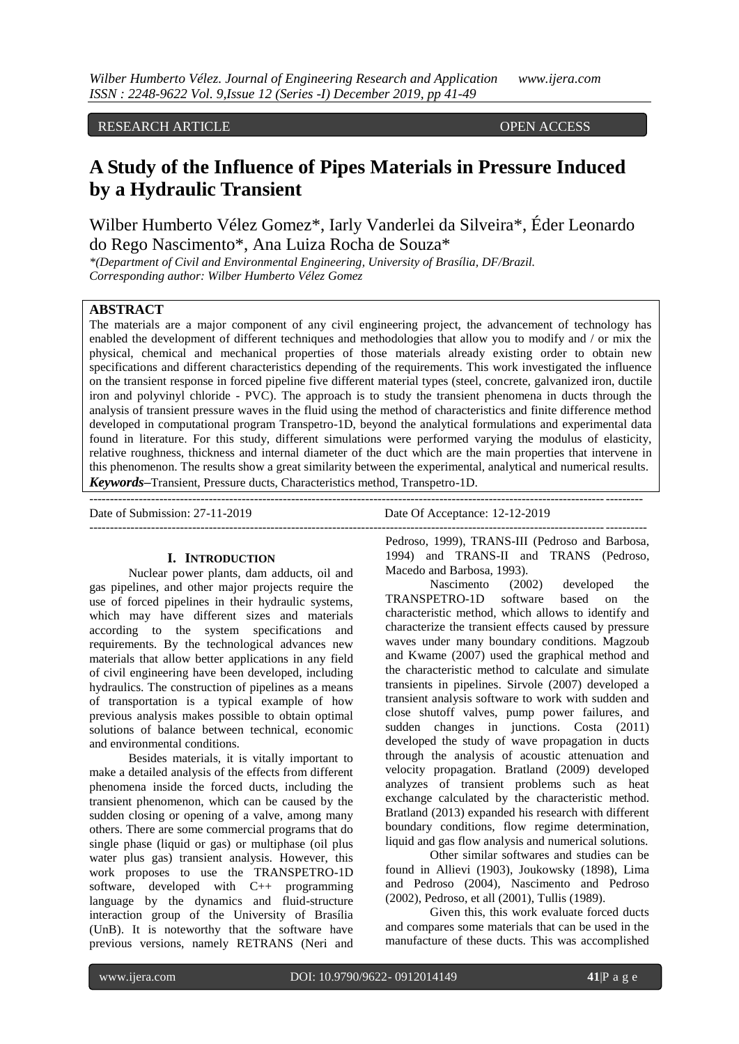# RESEARCH ARTICLE OPEN ACCESS

# **A Study of the Influence of Pipes Materials in Pressure Induced by a Hydraulic Transient**

Wilber Humberto Vélez Gomez\*, Iarly Vanderlei da Silveira\*, Éder Leonardo do Rego Nascimento\*, Ana Luiza Rocha de Souza\*

*\*(Department of Civil and Environmental Engineering, University of Brasília, DF/Brazil. Corresponding author: Wilber Humberto Vélez Gomez*

# **ABSTRACT**

The materials are a major component of any civil engineering project, the advancement of technology has enabled the development of different techniques and methodologies that allow you to modify and / or mix the physical, chemical and mechanical properties of those materials already existing order to obtain new specifications and different characteristics depending of the requirements. This work investigated the influence on the transient response in forced pipeline five different material types (steel, concrete, galvanized iron, ductile iron and polyvinyl chloride - PVC). The approach is to study the transient phenomena in ducts through the analysis of transient pressure waves in the fluid using the method of characteristics and finite difference method developed in computational program Transpetro-1D, beyond the analytical formulations and experimental data found in literature. For this study, different simulations were performed varying the modulus of elasticity, relative roughness, thickness and internal diameter of the duct which are the main properties that intervene in this phenomenon. The results show a great similarity between the experimental, analytical and numerical results. *Keywords***–**Transient, Pressure ducts, Characteristics method, Transpetro-1D.

---------------------------------------------------------------------------------------------------------------------------------------

--------------------------------------------------------------------------------------------------------------------------------------

Date of Submission: 27-11-2019 Date Of Acceptance: 12-12-2019

#### **I. INTRODUCTION**

Nuclear power plants, dam adducts, oil and gas pipelines, and other major projects require the use of forced pipelines in their hydraulic systems, which may have different sizes and materials according to the system specifications and requirements. By the technological advances new materials that allow better applications in any field of civil engineering have been developed, including hydraulics. The construction of pipelines as a means of transportation is a typical example of how previous analysis makes possible to obtain optimal solutions of balance between technical, economic and environmental conditions.

Besides materials, it is vitally important to make a detailed analysis of the effects from different phenomena inside the forced ducts, including the transient phenomenon, which can be caused by the sudden closing or opening of a valve, among many others. There are some commercial programs that do single phase (liquid or gas) or multiphase (oil plus water plus gas) transient analysis. However, this work proposes to use the TRANSPETRO-1D software, developed with C++ programming language by the dynamics and fluid-structure interaction group of the University of Brasília (UnB). It is noteworthy that the software have previous versions, namely RETRANS (Neri and

Pedroso, 1999), TRANS-III (Pedroso and Barbosa, 1994) and TRANS-II and TRANS (Pedroso, Macedo and Barbosa, 1993).

Nascimento (2002) developed the TRANSPETRO-1D software based on the characteristic method, which allows to identify and characterize the transient effects caused by pressure waves under many boundary conditions. Magzoub and Kwame (2007) used the graphical method and the characteristic method to calculate and simulate transients in pipelines. Sirvole (2007) developed a transient analysis software to work with sudden and close shutoff valves, pump power failures, and sudden changes in junctions. Costa (2011) developed the study of wave propagation in ducts through the analysis of acoustic attenuation and velocity propagation. Bratland (2009) developed analyzes of transient problems such as heat exchange calculated by the characteristic method. Bratland (2013) expanded his research with different boundary conditions, flow regime determination, liquid and gas flow analysis and numerical solutions.

Other similar softwares and studies can be found in Allievi (1903), Joukowsky (1898), Lima and Pedroso (2004), Nascimento and Pedroso (2002), Pedroso, et all (2001), Tullis (1989).

Given this, this work evaluate forced ducts and compares some materials that can be used in the manufacture of these ducts. This was accomplished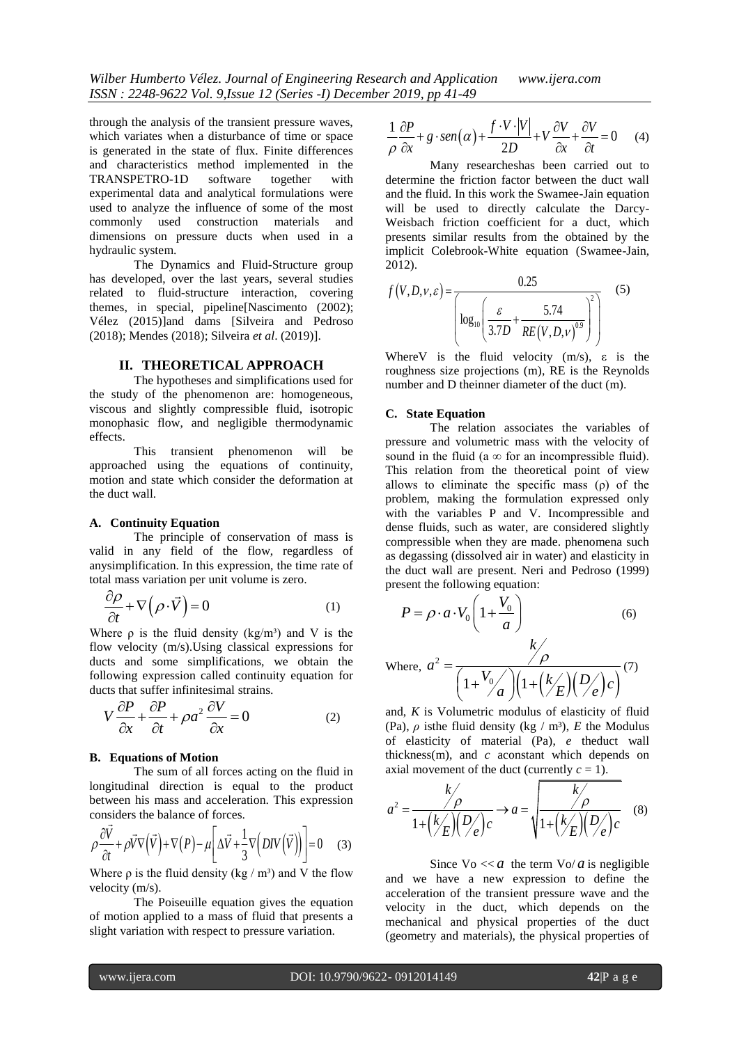through the analysis of the transient pressure waves, which variates when a disturbance of time or space is generated in the state of flux. Finite differences and characteristics method implemented in the<br>TRANSPETRO-1D software together with TRANSPETRO-1D software together with experimental data and analytical formulations were used to analyze the influence of some of the most commonly used construction materials and dimensions on pressure ducts when used in a hydraulic system.

The Dynamics and Fluid-Structure group has developed, over the last years, several studies related to fluid-structure interaction, covering themes, in special, pipeline[Nascimento (2002); Vélez (2015)]and dams [Silveira and Pedroso (2018); Mendes (2018); Silveira *et al*. (2019)].

#### **II. THEORETICAL APPROACH**

The hypotheses and simplifications used for the study of the phenomenon are: homogeneous, viscous and slightly compressible fluid, isotropic monophasic flow, and negligible thermodynamic effects.

This transient phenomenon will be approached using the equations of continuity, motion and state which consider the deformation at the duct wall.

# **A. Continuity Equation**

The principle of conservation of mass is valid in any field of the flow, regardless of anysimplification. In this expression, the time rate of total mass variation per unit volume is zero.

$$
\frac{\partial \rho}{\partial t} + \nabla (\rho \cdot \vec{V}) = 0 \tag{1}
$$

Where  $\rho$  is the fluid density (kg/m<sup>3</sup>) and V is the flow velocity (m/s).Using classical expressions for ducts and some simplifications, we obtain the following expression called continuity equation for ducts that suffer infinitesimal strains.

$$
V \frac{\partial P}{\partial x} + \frac{\partial P}{\partial t} + \rho a^2 \frac{\partial V}{\partial x} = 0
$$
 (2)

#### **B. Equations of Motion**

The sum of all forces acting on the fluid in longitudinal direction is equal to the product between his mass and acceleration. This expression

considers the balance of forces.  
\n
$$
\rho \frac{\partial \vec{V}}{\partial t} + \rho \vec{V} \nabla (\vec{V}) + \nabla (P) - \mu \left[ \Delta \vec{V} + \frac{1}{3} \nabla (DIV (\vec{V})) \right] = 0
$$
 (3)

Where  $\rho$  is the fluid density (kg / m<sup>3</sup>) and V the flow velocity (m/s).

The Poiseuille equation gives the equation of motion applied to a mass of fluid that presents a slight variation with respect to pressure variation.

$$
\frac{1}{\rho} \frac{\partial P}{\partial x} + g \cdot \text{sen}\left(\alpha\right) + \frac{f \cdot V \cdot |V|}{2D} + V \frac{\partial V}{\partial x} + \frac{\partial V}{\partial t} = 0 \quad (4)
$$

Many researcheshas been carried out to determine the friction factor between the duct wall and the fluid. In this work the Swamee-Jain equation will be used to directly calculate the Darcy-Weisbach friction coefficient for a duct, which presents similar results from the obtained by the implicit Colebrook-White equation (Swamee-Jain, 2012).

$$
f(V, D, V, \varepsilon) = \frac{0.25}{\left[ \log_{10} \left( \frac{\varepsilon}{3.7D} + \frac{5.74}{RE(V, D, V)^{0.9}} \right)^2 \right]}
$$
(5)

Where V is the fluid velocity  $(m/s)$ ,  $\varepsilon$  is the roughness size projections (m), RE is the Reynolds number and D theinner diameter of the duct (m).

#### **C. State Equation**

The relation associates the variables of pressure and volumetric mass with the velocity of sound in the fluid (a  $\infty$  for an incompressible fluid). This relation from the theoretical point of view allows to eliminate the specific mass  $(\rho)$  of the problem, making the formulation expressed only with the variables P and V. Incompressible and dense fluids, such as water, are considered slightly compressible when they are made. phenomena such as degassing (dissolved air in water) and elasticity in the duct wall are present. Neri and Pedroso (1999) present the following equation:

$$
P = \rho \cdot a \cdot V_0 \left( 1 + \frac{V_0}{a} \right)
$$
 (6)

Where, 
$$
a^2 = \frac{\gamma \rho}{\left(1 + \frac{V_0}{a}\right)\left(1 + \left(\frac{k}{E}\right)\left(\frac{D}{e}\right)c\right)}
$$
(7)

and, *K* is Volumetric modulus of elasticity of fluid (Pa),  $\rho$  is the fluid density (kg / m<sup>3</sup>), *E* the Modulus of elasticity of material (Pa), *e* theduct wall thickness(m), and *c* aconstant which depends on

axial movement of the duct (currently 
$$
c = 1
$$
).  
\n
$$
a^{2} = \frac{k}{1 + (k/E)(D/e)}c \rightarrow a = \sqrt{\frac{k}{1 + (k/E)(D/e)}c}
$$
 (8)

Since  $\sqrt{a} \ll a$  the term  $\sqrt{a}$  is negligible and we have a new expression to define the acceleration of the transient pressure wave and the velocity in the duct, which depends on the mechanical and physical properties of the duct (geometry and materials), the physical properties of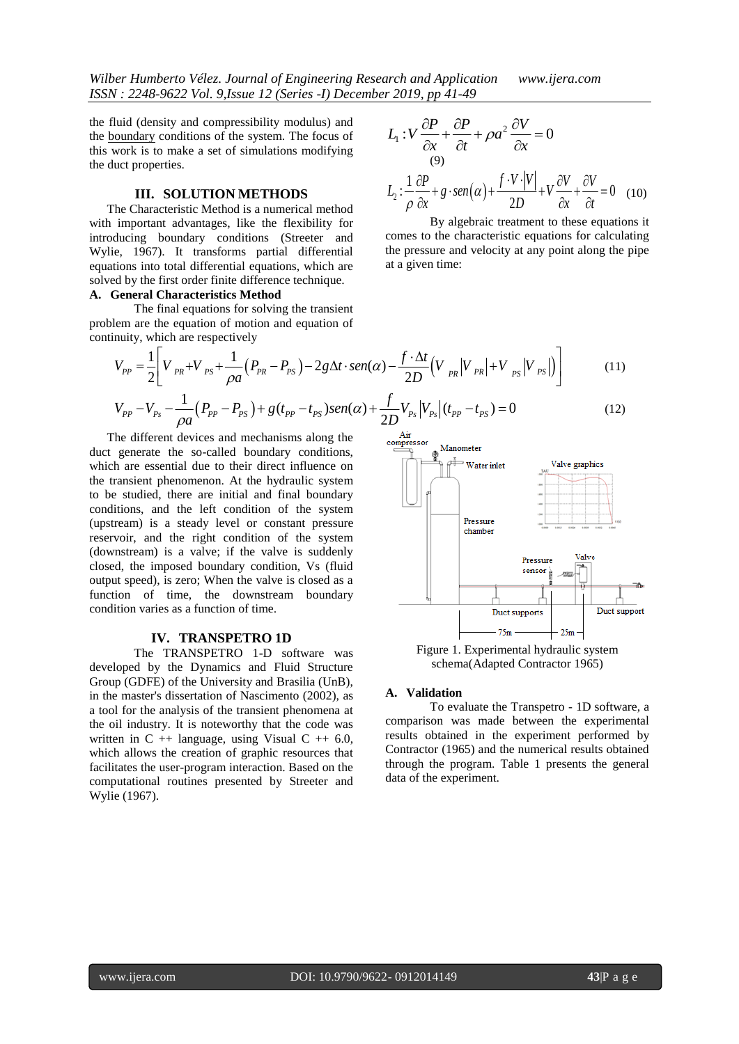the fluid (density and compressibility modulus) and the boundary conditions of the system. The focus of this work is to make a set of simulations modifying the duct properties.

#### **III. SOLUTION METHODS**

The Characteristic Method is a numerical method with important advantages, like the flexibility for introducing boundary conditions (Streeter and Wylie, 1967). It transforms partial differential equations into total differential equations, which are solved by the first order finite difference technique.

#### **A. General Characteristics Method**

The final equations for solving the transient problem are the equation of motion and equation of continuity, which are respectively

$$
L_1: V \frac{\partial P}{\partial x} + \frac{\partial P}{\partial t} + \rho a^2 \frac{\partial V}{\partial x} = 0
$$
  
(9)  

$$
L_2: \frac{1}{\rho} \frac{\partial P}{\partial x} + g \cdot \text{sen}(\alpha) + \frac{f \cdot V \cdot |V|}{2D} + V \frac{\partial V}{\partial x} + \frac{\partial V}{\partial t} = 0
$$
 (10)

By algebraic treatment to these equations it comes to the characteristic equations for calculating the pressure and velocity at any point along the pipe at a given time:

The final equations for solving the transient  
\n
$$
\text{Hence, the equation of motion and equation of}
$$
\n
$$
V_{PP} = \frac{1}{2} \left[ V_{PR} + V_{PS} + \frac{1}{\rho a} (P_{PR} - P_{PS}) - 2g \Delta t \cdot \text{sen}(\alpha) - \frac{f \cdot \Delta t}{2D} (V_{PR} | V_{PR} | + V_{PS} | V_{PS} |) \right]
$$
\n
$$
V_{PP} - V_{Ps} - \frac{1}{\rho a} (P_{PP} - P_{PS}) + g (t_{PP} - t_{PS}) \text{sen}(\alpha) + \frac{f}{2D} V_{Ps} | V_{Ps} | (t_{PP} - t_{PS}) = 0 \tag{12}
$$

$$
V_{PP} - V_{Ps} - \frac{1}{\rho a} (P_{PP} - P_{PS}) + g(t_{PP} - t_{PS}) \text{sen}(\alpha) + \frac{f}{2D} V_{Ps} |V_{Ps}| (t_{PP} - t_{PS}) = 0
$$
\n
$$
V_{PP} - V_{Ps} - \frac{1}{\rho a} (P_{PP} - P_{PS}) + g(t_{PP} - t_{PS}) \text{sen}(\alpha) + \frac{f}{2D} V_{Ps} |V_{Ps}| (t_{PP} - t_{PS}) = 0
$$
\n
$$
V_{SP} = 0 \tag{12}
$$

The different devices and mechanisms along the duct generate the so-called boundary conditions, which are essential due to their direct influence on the transient phenomenon. At the hydraulic system to be studied, there are initial and final boundary conditions, and the left condition of the system (upstream) is a steady level or constant pressure reservoir, and the right condition of the system (downstream) is a valve; if the valve is suddenly closed, the imposed boundary condition, Vs (fluid output speed), is zero; When the valve is closed as a function of time, the downstream boundary condition varies as a function of time.

# **IV. TRANSPETRO 1D**

The TRANSPETRO 1-D software was developed by the Dynamics and Fluid Structure Group (GDFE) of the University and Brasilia (UnB), in the master's dissertation of Nascimento (2002), as a tool for the analysis of the transient phenomena at the oil industry. It is noteworthy that the code was written in  $C +$  language, using Visual  $C +$  6.0, which allows the creation of graphic resources that facilitates the user-program interaction. Based on the computational routines presented by Streeter and Wylie (1967).



schema(Adapted Contractor 1965)

# **A. Validation**

To evaluate the Transpetro - 1D software, a comparison was made between the experimental results obtained in the experiment performed by Contractor (1965) and the numerical results obtained through the program. Table 1 presents the general data of the experiment.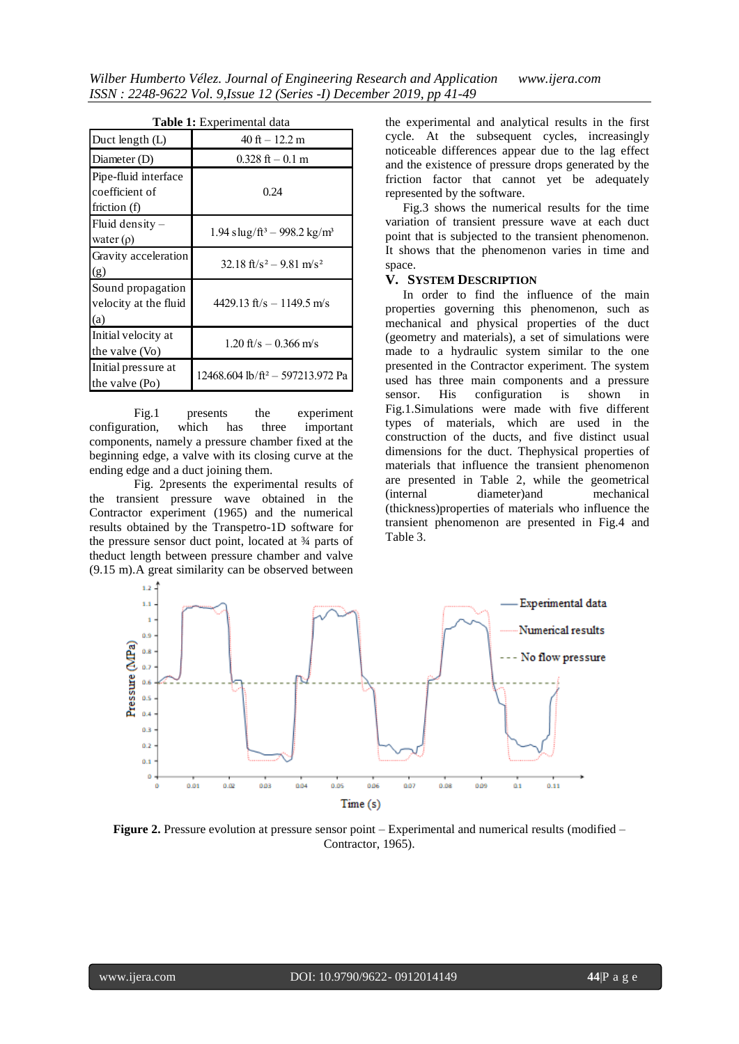| <b>Table 1:</b> Experimental data                      |                                                       |  |  |
|--------------------------------------------------------|-------------------------------------------------------|--|--|
| Duct length (L)                                        | $40$ ft $-12.2$ m                                     |  |  |
| Diameter (D)                                           | $0.328$ ft $-0.1$ m                                   |  |  |
| Pipe-fluid interface<br>coefficient of<br>friction (f) | 0.24                                                  |  |  |
| Fluid density $-$<br>water $(\rho)$                    | $1.94$ slug/ft <sup>3</sup> – 998.2 kg/m <sup>3</sup> |  |  |
| Gravity acceleration<br>(g)                            | 32.18 ft/s <sup>2</sup> – 9.81 m/s <sup>2</sup>       |  |  |
| Sound propagation<br>velocity at the fluid<br>(a)      | $4429.13$ ft/s $-1149.5$ m/s                          |  |  |
| Initial velocity at<br>the valve (Vo)                  | $1.20$ ft/s $- 0.366$ m/s                             |  |  |
| Initial pressure at<br>the valve (Po)                  | 12468.604 lb/ft <sup>2</sup> - 597213.972 Pa          |  |  |

Fig.1 presents the experiment configuration, which has three important components, namely a pressure chamber fixed at the beginning edge, a valve with its closing curve at the ending edge and a duct joining them.

Fig. 2presents the experimental results of the transient pressure wave obtained in the Contractor experiment (1965) and the numerical results obtained by the Transpetro-1D software for the pressure sensor duct point, located at  $\frac{3}{4}$  parts of theduct length between pressure chamber and valve (9.15 m).A great similarity can be observed between the experimental and analytical results in the first cycle. At the subsequent cycles, increasingly noticeable differences appear due to the lag effect and the existence of pressure drops generated by the friction factor that cannot yet be adequately represented by the software.

Fig.3 shows the numerical results for the time variation of transient pressure wave at each duct point that is subjected to the transient phenomenon. It shows that the phenomenon varies in time and space.

# **V. SYSTEM DESCRIPTION**

In order to find the influence of the main properties governing this phenomenon, such as mechanical and physical properties of the duct (geometry and materials), a set of simulations were made to a hydraulic system similar to the one presented in the Contractor experiment. The system used has three main components and a pressure sensor. His configuration is shown in Fig.1.Simulations were made with five different types of materials, which are used in the construction of the ducts, and five distinct usual dimensions for the duct. Thephysical properties of materials that influence the transient phenomenon are presented in Table 2, while the geometrical (internal diameter)and mechanical (thickness)properties of materials who influence the transient phenomenon are presented in Fig.4 and Table 3.



**Figure 2.** Pressure evolution at pressure sensor point – Experimental and numerical results (modified – Contractor, 1965).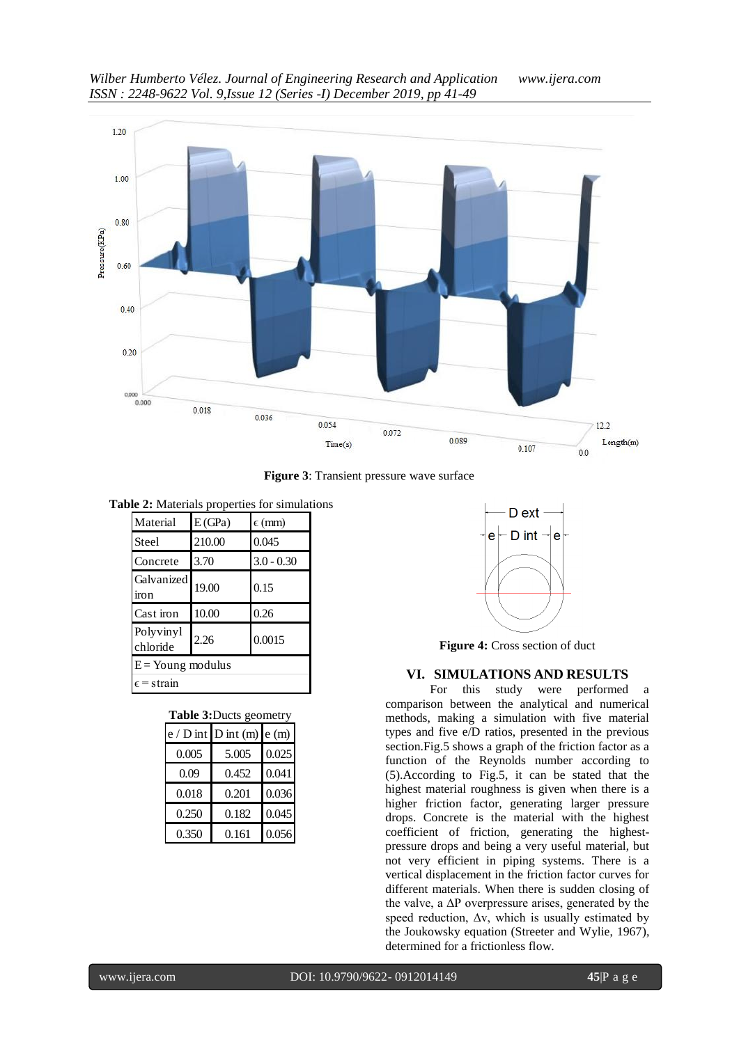

**Figure 3**: Transient pressure wave surface

**Table 2:** Materials properties for simulations

| Material              | E(GPa) | $\epsilon$ (mm) |  |
|-----------------------|--------|-----------------|--|
| Steel                 | 210.00 | 0.045           |  |
| Concrete              | 3.70   | $3.0 - 0.30$    |  |
| Galvanized<br>iron    | 19.00  | 0.15            |  |
| Cast iron             | 10.00  | 0.26            |  |
| Polyvinyl<br>chloride | 2.26   | 0.0015          |  |
| $E =$ Young modulus   |        |                 |  |
| $\epsilon$ = strain   |        |                 |  |

| Table 3: Ducts geometry |                     |       |  |
|-------------------------|---------------------|-------|--|
| $e/D$ int               | D int $(m)$ e $(m)$ |       |  |
| 0.005                   | 5.005               | 0.025 |  |
| 0.09                    | 0.452               | 0.041 |  |
| 0.018                   | 0.201               | 0.036 |  |
| 0.250                   | 0.182               | 0.045 |  |
| 0.350                   | 0.161               | 0.056 |  |



**Figure 4:** Cross section of duct

# **VI. SIMULATIONS AND RESULTS**

For this study were performed a comparison between the analytical and numerical methods, making a simulation with five material types and five e/D ratios, presented in the previous section.Fig.5 shows a graph of the friction factor as a function of the Reynolds number according to (5).According to Fig.5, it can be stated that the highest material roughness is given when there is a higher friction factor, generating larger pressure drops. Concrete is the material with the highest coefficient of friction, generating the highestpressure drops and being a very useful material, but not very efficient in piping systems. There is a vertical displacement in the friction factor curves for different materials. When there is sudden closing of the valve, a  $\Delta P$  overpressure arises, generated by the speed reduction,  $\Delta v$ , which is usually estimated by the Joukowsky equation (Streeter and Wylie, 1967), determined for a frictionless flow.

www.ijera.com DOI: 10.9790/9622- 0912014149 **45**|P a g e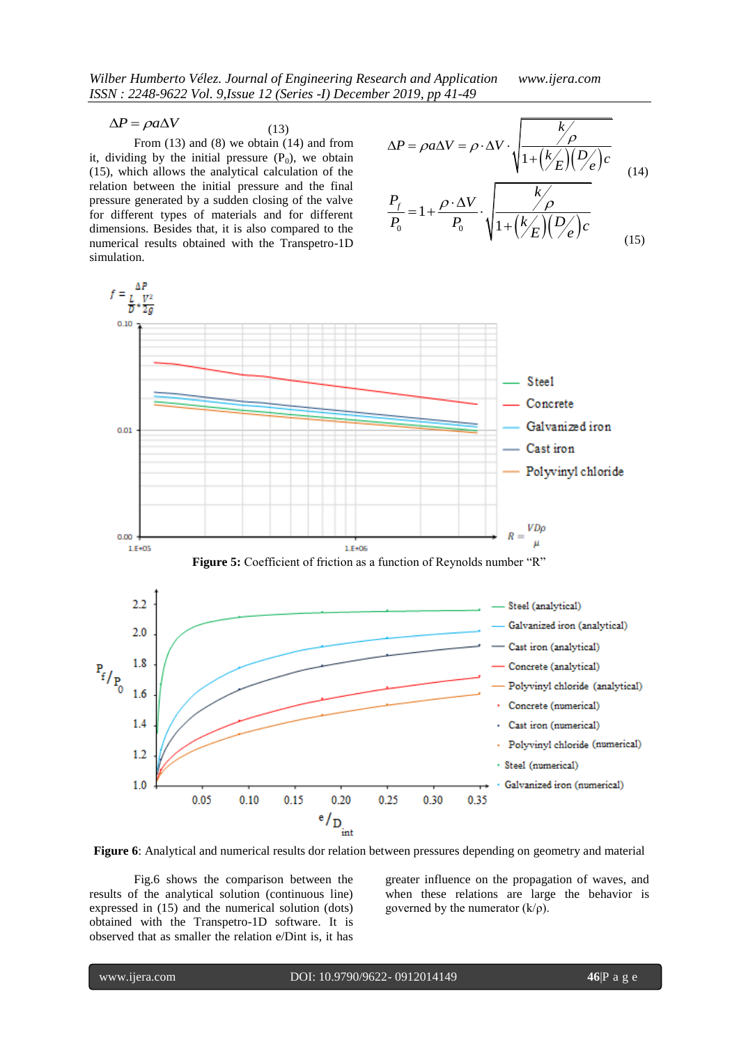(13)

From (13) and (8) we obtain (14) and from it, dividing by the initial pressure  $(P_0)$ , we obtain (15), which allows the analytical calculation of the relation between the initial pressure and the final pressure generated by a sudden closing of the valve for different types of materials and for different dimensions. Besides that, it is also compared to the numerical results obtained with the Transpetro-1D simulation.

$$
\Delta P = \rho a \Delta V = \rho \cdot \Delta V \cdot \sqrt{\frac{k/\rho}{1 + (k/E)(D/e)}}c
$$
  

$$
\frac{P_f}{P} = 1 + \frac{\rho \cdot \Delta V}{P} \cdot \sqrt{\frac{k/\rho}{1 + (k/E)(D/e)}}
$$
(14)

$$
\frac{P_f}{P_0} = 1 + \frac{\rho \cdot \Delta V}{P_0} \cdot \sqrt{1 + \left(\frac{k}{E}\right)\left(\frac{D}{e}\right)c}
$$
(15)



**Figure 6**: Analytical and numerical results dor relation between pressures depending on geometry and material

Fig.6 shows the comparison between the results of the analytical solution (continuous line) expressed in (15) and the numerical solution (dots) obtained with the Transpetro-1D software. It is observed that as smaller the relation e/Dint is, it has greater influence on the propagation of waves, and when these relations are large the behavior is governed by the numerator  $(k/\rho)$ .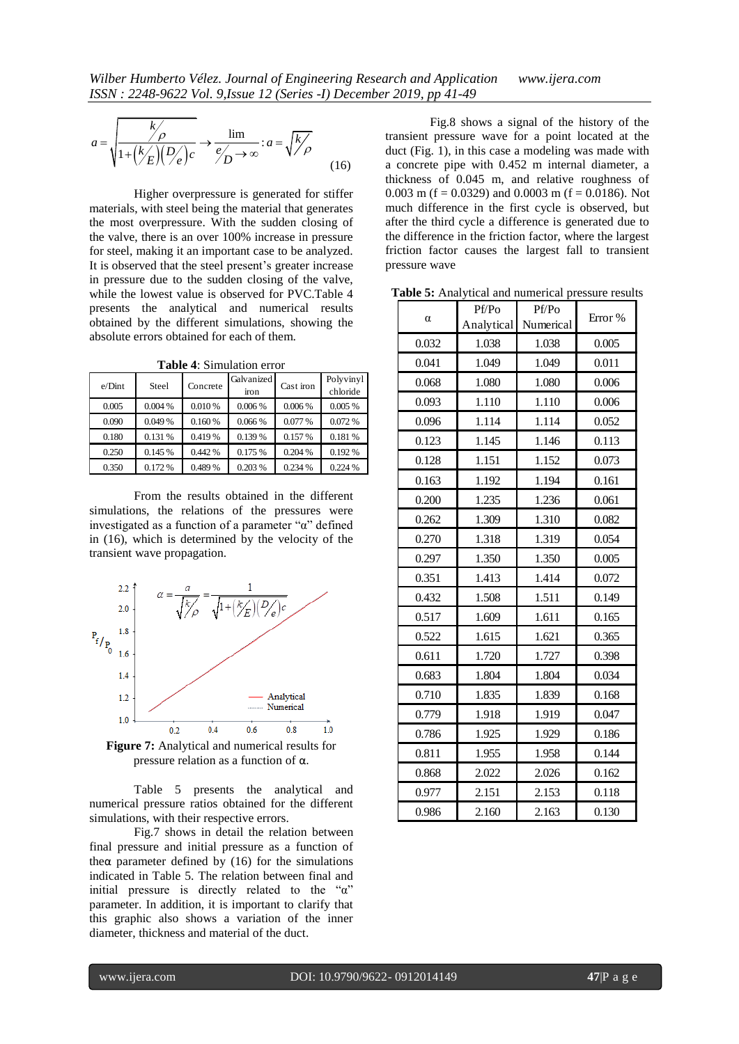$$
a = \sqrt{\frac{k}{1 + (k/E)(D/e)c}} \rightarrow \frac{\lim}{e_D' \rightarrow \infty} : a = \sqrt{k/D}
$$
(16)

Higher overpressure is generated for stiffer materials, with steel being the material that generates the most overpressure. With the sudden closing of the valve, there is an over 100% increase in pressure for steel, making it an important case to be analyzed. It is observed that the steel present's greater increase in pressure due to the sudden closing of the valve, while the lowest value is observed for PVC.Table 4 presents the analytical and numerical results obtained by the different simulations, showing the absolute errors obtained for each of them.

| <b>Table <math>\leftrightarrow</math>.</b> Sumulation error |         |          |                    |           |                       |
|-------------------------------------------------------------|---------|----------|--------------------|-----------|-----------------------|
| e/Dint                                                      | Steel   | Concrete | Galvanized<br>iron | Cast iron | Polyvinyl<br>chloride |
| 0.005                                                       | 0.004 % | 0.010 %  | 0.006%             | 0.006%    | 0.005%                |
| 0.090                                                       | 0.049 % | 0.160%   | 0.066 %            | 0.077 %   | 0.072%                |
| 0.180                                                       | 0.131 % | 0.419 %  | 0.139 %            | 0.157%    | 0.181 %               |
| 0.250                                                       | 0.145 % | 0.442 %  | 0.175 %            | 0.204%    | 0.192%                |
| 0.350                                                       | 0.172%  | 0.489 %  | 0.203 %            | 0.234 %   | 0.224 %               |

**Table 4**: Simulation error

From the results obtained in the different simulations, the relations of the pressures were investigated as a function of a parameter "α" defined in (16), which is determined by the velocity of the transient wave propagation.



**Figure 7:** Analytical and numerical results for pressure relation as a function of α.

Table 5 presents the analytical and numerical pressure ratios obtained for the different simulations, with their respective errors.

Fig.7 shows in detail the relation between final pressure and initial pressure as a function of the $\alpha$  parameter defined by (16) for the simulations indicated in Table 5. The relation between final and initial pressure is directly related to the "α" parameter. In addition, it is important to clarify that this graphic also shows a variation of the inner diameter, thickness and material of the duct.

Fig.8 shows a signal of the history of the transient pressure wave for a point located at the duct (Fig. 1), in this case a modeling was made with a concrete pipe with 0.452 m internal diameter, a thickness of 0.045 m, and relative roughness of 0.003 m ( $f = 0.0329$ ) and 0.0003 m ( $f = 0.0186$ ). Not much difference in the first cycle is observed, but after the third cycle a difference is generated due to the difference in the friction factor, where the largest friction factor causes the largest fall to transient pressure wave

**Table 5:** Analytical and numerical pressure results

| $\alpha$ | Pf/Po      | Pf/Po     | Error % |  |
|----------|------------|-----------|---------|--|
|          | Analytical | Numerical |         |  |
| 0.032    | 1.038      | 1.038     | 0.005   |  |
| 0.041    | 1.049      | 1.049     | 0.011   |  |
| 0.068    | 1.080      | 1.080     | 0.006   |  |
| 0.093    | 1.110      | 1.110     | 0.006   |  |
| 0.096    | 1.114      | 1.114     | 0.052   |  |
| 0.123    | 1.145      | 1.146     | 0.113   |  |
| 0.128    | 1.151      | 1.152     | 0.073   |  |
| 0.163    | 1.192      | 1.194     | 0.161   |  |
| 0.200    | 1.235      | 1.236     | 0.061   |  |
| 0.262    | 1.309      | 1.310     | 0.082   |  |
| 0.270    | 1.318      | 1.319     | 0.054   |  |
| 0.297    | 1.350      | 1.350     | 0.005   |  |
| 0.351    | 1.413      | 1.414     | 0.072   |  |
| 0.432    | 1.508      | 1.511     | 0.149   |  |
| 0.517    | 1.609      | 1.611     | 0.165   |  |
| 0.522    | 1.615      | 1.621     | 0.365   |  |
| 0.611    | 1.720      | 1.727     | 0.398   |  |
| 0.683    | 1.804      | 1.804     | 0.034   |  |
| 0.710    | 1.835      | 1.839     | 0.168   |  |
| 0.779    | 1.918      | 1.919     | 0.047   |  |
| 0.786    | 1.925      | 1.929     | 0.186   |  |
| 0.811    | 1.955      | 1.958     | 0.144   |  |
| 0.868    | 2.022      | 2.026     | 0.162   |  |
| 0.977    | 2.151      | 2.153     | 0.118   |  |
| 0.986    | 2.160      | 2.163     | 0.130   |  |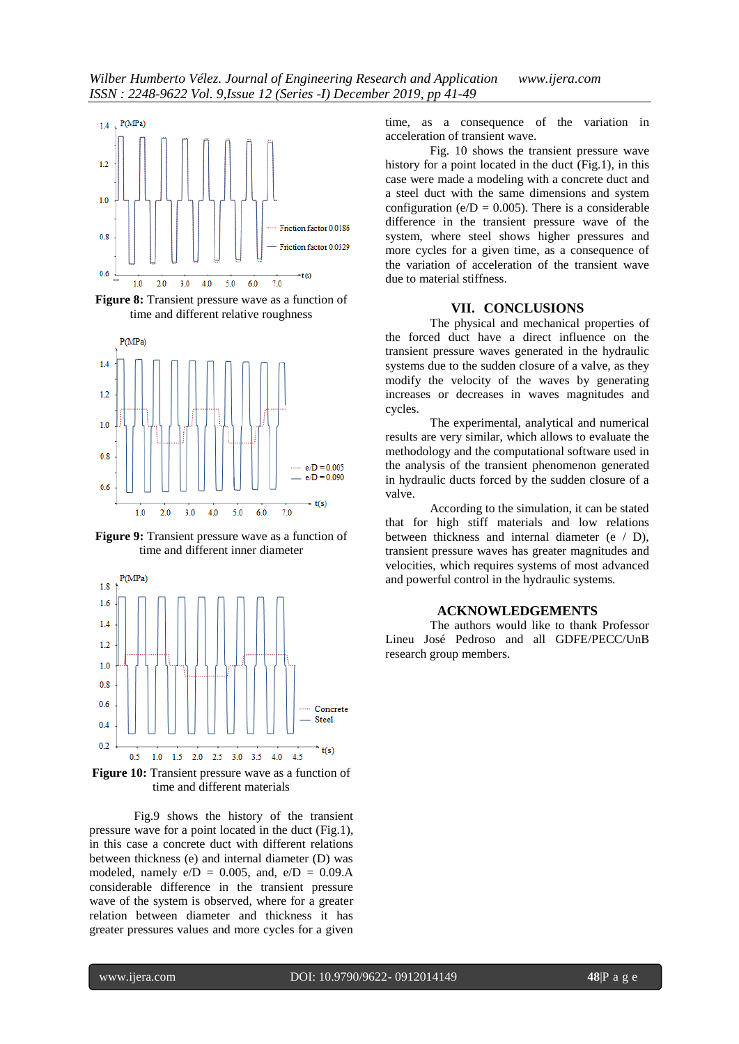

**Figure 8:** Transient pressure wave as a function of time and different relative roughness



**Figure 9:** Transient pressure wave as a function of time and different inner diameter



**Figure 10:** Transient pressure wave as a function of time and different materials

Fig.9 shows the history of the transient pressure wave for a point located in the duct (Fig.1), in this case a concrete duct with different relations between thickness (e) and internal diameter (D) was modeled, namely  $e/D = 0.005$ , and,  $e/D = 0.09$ .A considerable difference in the transient pressure wave of the system is observed, where for a greater relation between diameter and thickness it has greater pressures values and more cycles for a given time, as a consequence of the variation in acceleration of transient wave.

Fig. 10 shows the transient pressure wave history for a point located in the duct (Fig.1), in this case were made a modeling with a concrete duct and a steel duct with the same dimensions and system configuration (e/ $D = 0.005$ ). There is a considerable difference in the transient pressure wave of the system, where steel shows higher pressures and more cycles for a given time, as a consequence of the variation of acceleration of the transient wave due to material stiffness.

#### **VII. CONCLUSIONS**

The physical and mechanical properties of the forced duct have a direct influence on the transient pressure waves generated in the hydraulic systems due to the sudden closure of a valve, as they modify the velocity of the waves by generating increases or decreases in waves magnitudes and cycles.

The experimental, analytical and numerical results are very similar, which allows to evaluate the methodology and the computational software used in the analysis of the transient phenomenon generated in hydraulic ducts forced by the sudden closure of a valve.

According to the simulation, it can be stated that for high stiff materials and low relations between thickness and internal diameter (e / D), transient pressure waves has greater magnitudes and velocities, which requires systems of most advanced and powerful control in the hydraulic systems.

# **ACKNOWLEDGEMENTS**

The authors would like to thank Professor Lineu José Pedroso and all GDFE/PECC/UnB research group members.